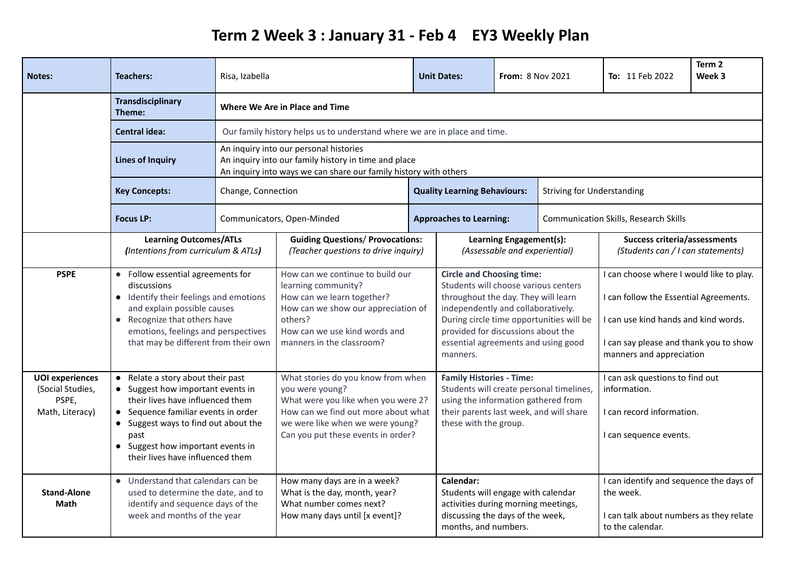## **Term 2 Week 3 : January 31 - Feb 4 EY3 Weekly Plan**

| <b>Notes:</b>                                                          | <b>Teachers:</b>                                                                                                                                                                                                                                                         | Risa, Izabella                                                                                                                                                                                                                                  | <b>Unit Dates:</b><br><b>From: 8 Nov 2021</b>                                                                                                                                                                 |  |                                                                                                                                                                                                                                                                                            | <b>To: 11 Feb 2022</b> | Term 2<br>Week 3                                                                                                                                                                                 |                                                                                                        |  |
|------------------------------------------------------------------------|--------------------------------------------------------------------------------------------------------------------------------------------------------------------------------------------------------------------------------------------------------------------------|-------------------------------------------------------------------------------------------------------------------------------------------------------------------------------------------------------------------------------------------------|---------------------------------------------------------------------------------------------------------------------------------------------------------------------------------------------------------------|--|--------------------------------------------------------------------------------------------------------------------------------------------------------------------------------------------------------------------------------------------------------------------------------------------|------------------------|--------------------------------------------------------------------------------------------------------------------------------------------------------------------------------------------------|--------------------------------------------------------------------------------------------------------|--|
|                                                                        | <b>Transdisciplinary</b><br>Theme:                                                                                                                                                                                                                                       | Where We Are in Place and Time                                                                                                                                                                                                                  |                                                                                                                                                                                                               |  |                                                                                                                                                                                                                                                                                            |                        |                                                                                                                                                                                                  |                                                                                                        |  |
|                                                                        | <b>Central idea:</b>                                                                                                                                                                                                                                                     | Our family history helps us to understand where we are in place and time.<br>An inquiry into our personal histories<br>An inquiry into our family history in time and place<br>An inquiry into ways we can share our family history with others |                                                                                                                                                                                                               |  |                                                                                                                                                                                                                                                                                            |                        |                                                                                                                                                                                                  |                                                                                                        |  |
|                                                                        | <b>Lines of Inquiry</b>                                                                                                                                                                                                                                                  |                                                                                                                                                                                                                                                 |                                                                                                                                                                                                               |  |                                                                                                                                                                                                                                                                                            |                        |                                                                                                                                                                                                  |                                                                                                        |  |
|                                                                        | <b>Key Concepts:</b>                                                                                                                                                                                                                                                     | Change, Connection<br><b>Quality Learning Behaviours:</b>                                                                                                                                                                                       |                                                                                                                                                                                                               |  | <b>Striving for Understanding</b>                                                                                                                                                                                                                                                          |                        |                                                                                                                                                                                                  |                                                                                                        |  |
|                                                                        | <b>Focus LP:</b>                                                                                                                                                                                                                                                         |                                                                                                                                                                                                                                                 | Communicators, Open-Minded                                                                                                                                                                                    |  | <b>Approaches to Learning:</b>                                                                                                                                                                                                                                                             |                        | <b>Communication Skills, Research Skills</b>                                                                                                                                                     |                                                                                                        |  |
|                                                                        | <b>Learning Outcomes/ATLs</b><br>(Intentions from curriculum & ATLs)                                                                                                                                                                                                     |                                                                                                                                                                                                                                                 | <b>Guiding Questions/ Provocations:</b><br>(Teacher questions to drive inquiry)                                                                                                                               |  | Learning Engagement(s):<br>(Assessable and experiential)                                                                                                                                                                                                                                   |                        | <b>Success criteria/assessments</b><br>(Students can / I can statements)                                                                                                                         |                                                                                                        |  |
| <b>PSPE</b>                                                            | • Follow essential agreements for<br>discussions<br>• Identify their feelings and emotions<br>and explain possible causes<br>Recognize that others have<br>emotions, feelings and perspectives<br>that may be different from their own                                   |                                                                                                                                                                                                                                                 | How can we continue to build our<br>learning community?<br>How can we learn together?<br>How can we show our appreciation of<br>others?<br>How can we use kind words and<br>manners in the classroom?         |  | <b>Circle and Choosing time:</b><br>Students will choose various centers<br>throughout the day. They will learn<br>independently and collaboratively.<br>During circle time opportunities will be<br>provided for discussions about the<br>essential agreements and using good<br>manners. |                        | I can choose where I would like to play.<br>I can follow the Essential Agreements.<br>I can use kind hands and kind words.<br>I can say please and thank you to show<br>manners and appreciation |                                                                                                        |  |
| <b>UOI</b> experiences<br>(Social Studies,<br>PSPE,<br>Math, Literacy) | Relate a story about their past<br>• Suggest how important events in<br>their lives have influenced them<br>• Sequence familiar events in order<br>• Suggest ways to find out about the<br>past<br>• Suggest how important events in<br>their lives have influenced them |                                                                                                                                                                                                                                                 | What stories do you know from when<br>you were young?<br>What were you like when you were 2?<br>How can we find out more about what<br>we were like when we were young?<br>Can you put these events in order? |  | <b>Family Histories - Time:</b><br>Students will create personal timelines,<br>using the information gathered from<br>their parents last week, and will share<br>these with the group.                                                                                                     |                        |                                                                                                                                                                                                  | I can ask questions to find out<br>information.<br>I can record information.<br>I can sequence events. |  |
| <b>Stand-Alone</b><br><b>Math</b>                                      | • Understand that calendars can be<br>used to determine the date, and to<br>identify and sequence days of the<br>week and months of the year                                                                                                                             |                                                                                                                                                                                                                                                 | How many days are in a week?<br>What is the day, month, year?<br>What number comes next?<br>How many days until [x event]?                                                                                    |  | Calendar:<br>Students will engage with calendar<br>activities during morning meetings,<br>discussing the days of the week,<br>months, and numbers.                                                                                                                                         |                        | I can identify and sequence the days of<br>the week.<br>I can talk about numbers as they relate<br>to the calendar.                                                                              |                                                                                                        |  |